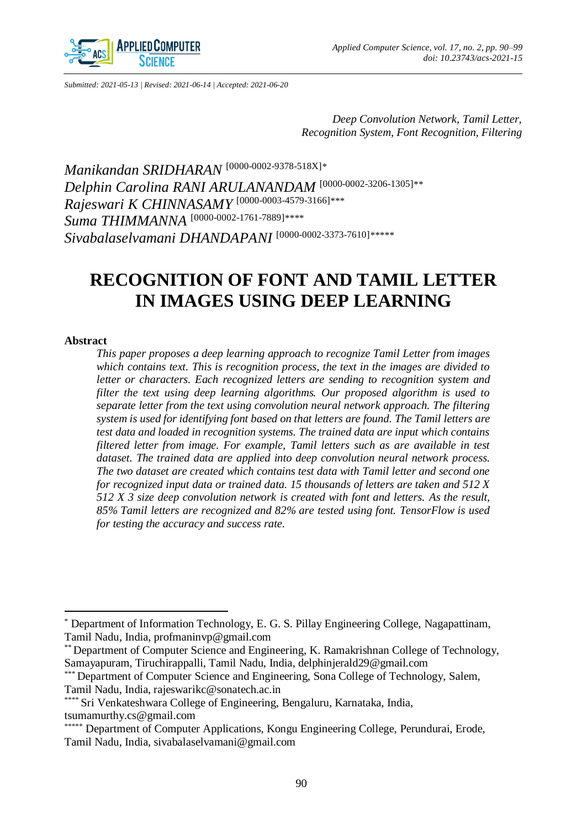

*Submitted: 2021-05-13 | Revised: 2021-06-14 | Accepted: 2021-06-20*

*Deep Convolution Network, Tamil Letter, Recognition System, Font Recognition, Filtering* 

*Manikandan SRIDHARAN* [\[0000-0002-9378-518X\]](https://orcid.org/0000-0002-9378-518X)*\* Delphin Carolina RANI ARULANANDAM* [\[0000-0002-3206-1305\]](https://orcid.org/0000-0002-3206-1305)*\*\* Rajeswari K CHINNASAMY* [\[0000-0003-4579-3166\]](https://orcid.org/0000-0003-4579-3166)*\*\*\* Suma THIMMANNA* [\[0000-0002-1761-7889\]](https://orcid.org/0000-0002-1761-7889)*\*\*\*\* Sivabalaselvamani DHANDAPANI* [\[0000-0002-3373-7610\]](https://orcid.org/0000-0002-3373-7610)*\*\*\*\*\**

# **RECOGNITION OF FONT AND TAMIL LETTER IN IMAGES USING DEEP LEARNING**

#### **Abstract**

 $\overline{a}$ 

*This paper proposes a deep learning approach to recognize Tamil Letter from images which contains text. This is recognition process, the text in the images are divided to letter or characters. Each recognized letters are sending to recognition system and filter the text using deep learning algorithms. Our proposed algorithm is used to separate letter from the text using convolution neural network approach. The filtering system is used for identifying font based on that letters are found. The Tamil letters are test data and loaded in recognition systems. The trained data are input which contains*  filtered letter from image. For example, Tamil letters such as are available in test *dataset. The trained data are applied into deep convolution neural network process. The two dataset are created which contains test data with Tamil letter and second one for recognized input data or trained data. 15 thousands of letters are taken and 512 X 512 X 3 size deep convolution network is created with font and letters. As the result, 85% Tamil letters are recognized and 82% are tested using font. TensorFlow is used for testing the accuracy and success rate.*

<sup>\*</sup> Department of Information Technology, E. G. S. Pillay Engineering College, Nagapattinam, Tamil Nadu, India, profmaninvp@gmail.com

<sup>\*\*</sup> Department of Computer Science and Engineering, K. Ramakrishnan College of Technology, Samayapuram, Tiruchirappalli, Tamil Nadu, India, delphinjerald29@gmail.com

<sup>\*\*\*</sup> Department of Computer Science and Engineering, Sona College of Technology, Salem, Tamil Nadu, India, rajeswarikc@sonatech.ac.in

Sri Venkateshwara College of Engineering, Bengaluru, Karnataka, India, tsumamurthy.cs@gmail.com

Department of Computer Applications, Kongu Engineering College, Perundurai, Erode, Tamil Nadu, India, sivabalaselvamani@gmail.com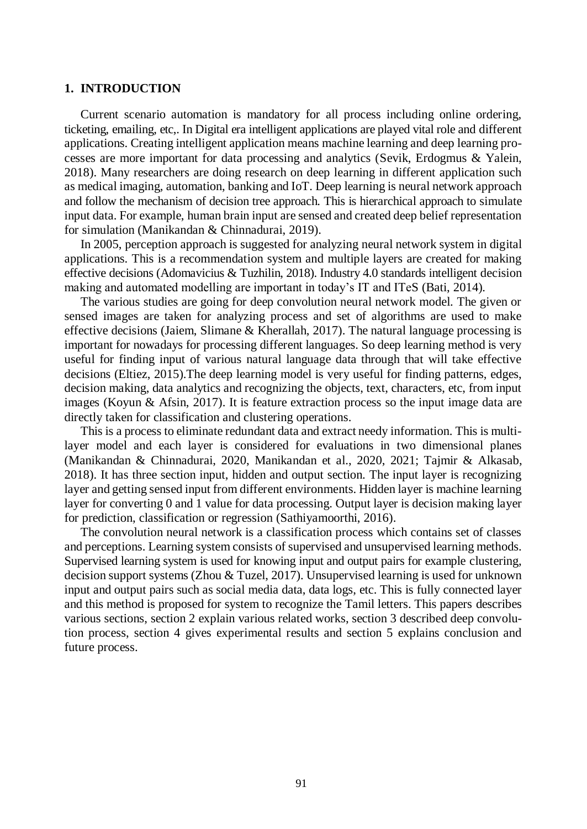# **1. INTRODUCTION**

Current scenario automation is mandatory for all process including online ordering, ticketing, emailing, etc,. In Digital era intelligent applications are played vital role and different applications. Creating intelligent application means machine learning and deep learning processes are more important for data processing and analytics (Sevik, Erdogmus & Yalein, 2018). Many researchers are doing research on deep learning in different application such as medical imaging, automation, banking and IoT. Deep learning is neural network approach and follow the mechanism of decision tree approach. This is hierarchical approach to simulate input data. For example, human brain input are sensed and created deep belief representation for simulation (Manikandan & Chinnadurai, 2019).

In 2005, perception approach is suggested for analyzing neural network system in digital applications. This is a recommendation system and multiple layers are created for making effective decisions (Adomavicius & Tuzhilin, 2018). Industry 4.0 standards intelligent decision making and automated modelling are important in today's IT and ITeS (Bati, 2014).

The various studies are going for deep convolution neural network model. The given or sensed images are taken for analyzing process and set of algorithms are used to make effective decisions (Jaiem, Slimane & Kherallah, 2017). The natural language processing is important for nowadays for processing different languages. So deep learning method is very useful for finding input of various natural language data through that will take effective decisions (Eltiez, 2015).The deep learning model is very useful for finding patterns, edges, decision making, data analytics and recognizing the objects, text, characters, etc, from input images (Koyun & Afsin, 2017). It is feature extraction process so the input image data are directly taken for classification and clustering operations.

This is a process to eliminate redundant data and extract needy information. This is multilayer model and each layer is considered for evaluations in two dimensional planes (Manikandan & Chinnadurai, 2020, Manikandan et al., 2020, 2021; Tajmir & Alkasab, 2018). It has three section input, hidden and output section. The input layer is recognizing layer and getting sensed input from different environments. Hidden layer is machine learning layer for converting 0 and 1 value for data processing. Output layer is decision making layer for prediction, classification or regression (Sathiyamoorthi, 2016).

The convolution neural network is a classification process which contains set of classes and perceptions. Learning system consists of supervised and unsupervised learning methods. Supervised learning system is used for knowing input and output pairs for example clustering, decision support systems (Zhou & Tuzel, 2017). Unsupervised learning is used for unknown input and output pairs such as social media data, data logs, etc. This is fully connected layer and this method is proposed for system to recognize the Tamil letters. This papers describes various sections, section 2 explain various related works, section 3 described deep convolution process, section 4 gives experimental results and section 5 explains conclusion and future process.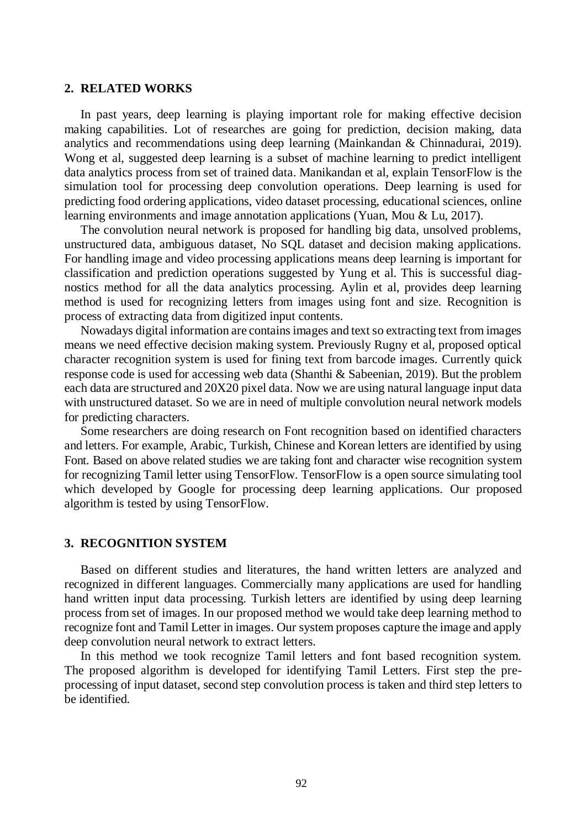## **2. RELATED WORKS**

In past years, deep learning is playing important role for making effective decision making capabilities. Lot of researches are going for prediction, decision making, data analytics and recommendations using deep learning (Mainkandan & Chinnadurai, 2019). Wong et al, suggested deep learning is a subset of machine learning to predict intelligent data analytics process from set of trained data. Manikandan et al, explain TensorFlow is the simulation tool for processing deep convolution operations. Deep learning is used for predicting food ordering applications, video dataset processing, educational sciences, online learning environments and image annotation applications (Yuan, Mou & Lu, 2017).

The convolution neural network is proposed for handling big data, unsolved problems, unstructured data, ambiguous dataset, No SQL dataset and decision making applications. For handling image and video processing applications means deep learning is important for classification and prediction operations suggested by Yung et al. This is successful diagnostics method for all the data analytics processing. Aylin et al, provides deep learning method is used for recognizing letters from images using font and size. Recognition is process of extracting data from digitized input contents.

Nowadays digital information are contains images and text so extracting text from images means we need effective decision making system. Previously Rugny et al, proposed optical character recognition system is used for fining text from barcode images. Currently quick response code is used for accessing web data (Shanthi & Sabeenian, 2019). But the problem each data are structured and 20X20 pixel data. Now we are using natural language input data with unstructured dataset. So we are in need of multiple convolution neural network models for predicting characters.

Some researchers are doing research on Font recognition based on identified characters and letters. For example, Arabic, Turkish, Chinese and Korean letters are identified by using Font. Based on above related studies we are taking font and character wise recognition system for recognizing Tamil letter using TensorFlow. TensorFlow is a open source simulating tool which developed by Google for processing deep learning applications. Our proposed algorithm is tested by using TensorFlow.

### **3. RECOGNITION SYSTEM**

Based on different studies and literatures, the hand written letters are analyzed and recognized in different languages. Commercially many applications are used for handling hand written input data processing. Turkish letters are identified by using deep learning process from set of images. In our proposed method we would take deep learning method to recognize font and Tamil Letter in images. Our system proposes capture the image and apply deep convolution neural network to extract letters.

In this method we took recognize Tamil letters and font based recognition system. The proposed algorithm is developed for identifying Tamil Letters. First step the preprocessing of input dataset, second step convolution process is taken and third step letters to be identified.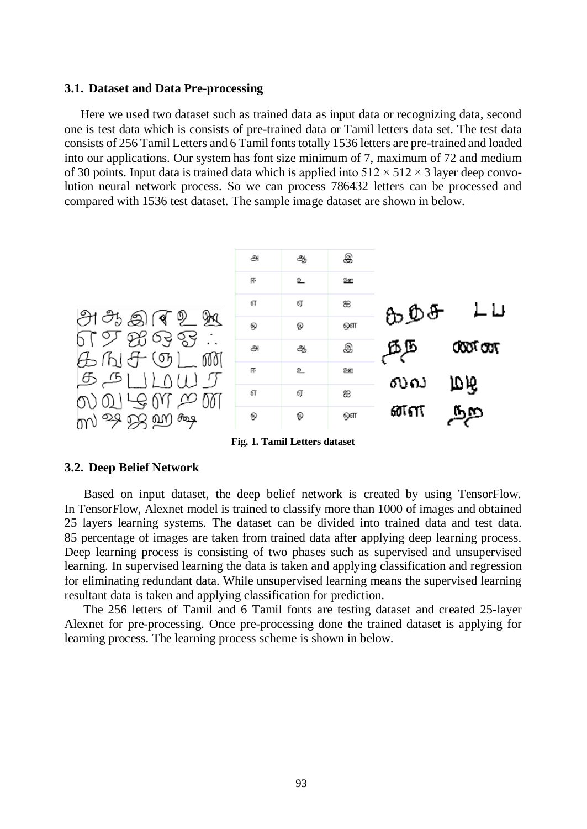#### **3.1. Dataset and Data Pre-processing**

Here we used two dataset such as trained data as input data or recognizing data, second one is test data which is consists of pre-trained data or Tamil letters data set. The test data consists of 256 Tamil Letters and 6 Tamil fonts totally 1536 letters are pre-trained and loaded into our applications. Our system has font size minimum of 7, maximum of 72 and medium of 30 points. Input data is trained data which is applied into  $512 \times 512 \times 3$  layer deep convolution neural network process. So we can process 786432 letters can be processed and compared with 1536 test dataset. The sample image dataset are shown in below.



**Fig. 1. Tamil Letters dataset**

# **3.2. Deep Belief Network**

Based on input dataset, the deep belief network is created by using TensorFlow. In TensorFlow, Alexnet model is trained to classify more than 1000 of images and obtained 25 layers learning systems. The dataset can be divided into trained data and test data. 85 percentage of images are taken from trained data after applying deep learning process. Deep learning process is consisting of two phases such as supervised and unsupervised learning. In supervised learning the data is taken and applying classification and regression for eliminating redundant data. While unsupervised learning means the supervised learning resultant data is taken and applying classification for prediction.

The 256 letters of Tamil and 6 Tamil fonts are testing dataset and created 25-layer Alexnet for pre-processing. Once pre-processing done the trained dataset is applying for learning process. The learning process scheme is shown in below.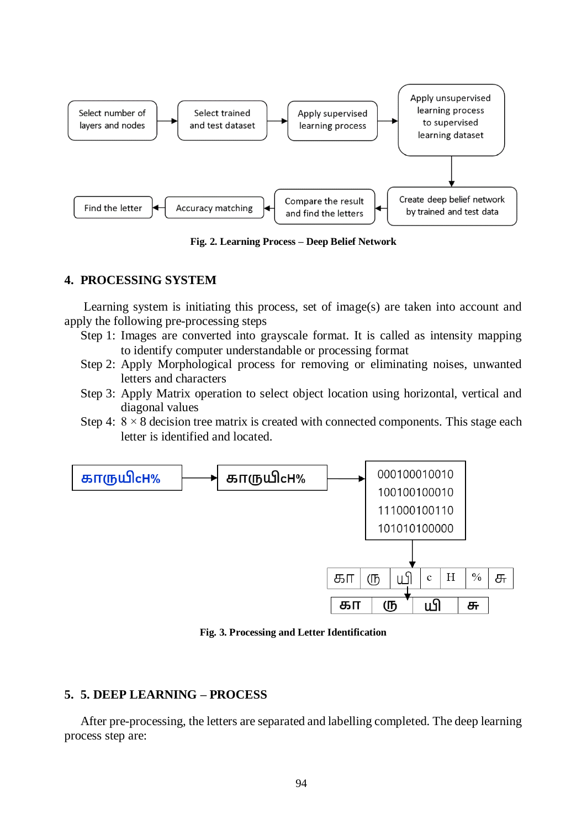

**Fig. 2. Learning Process – Deep Belief Network**

# **4. PROCESSING SYSTEM**

Learning system is initiating this process, set of image(s) are taken into account and apply the following pre-processing steps

- Step 1: Images are converted into grayscale format. It is called as intensity mapping to identify computer understandable or processing format
- Step 2: Apply Morphological process for removing or eliminating noises, unwanted letters and characters
- Step 3: Apply Matrix operation to select object location using horizontal, vertical and diagonal values
- Step 4:  $8 \times 8$  decision tree matrix is created with connected components. This stage each letter is identified and located.



**Fig. 3. Processing and Letter Identification**

# **5. 5. DEEP LEARNING – PROCESS**

After pre-processing, the letters are separated and labelling completed. The deep learning process step are: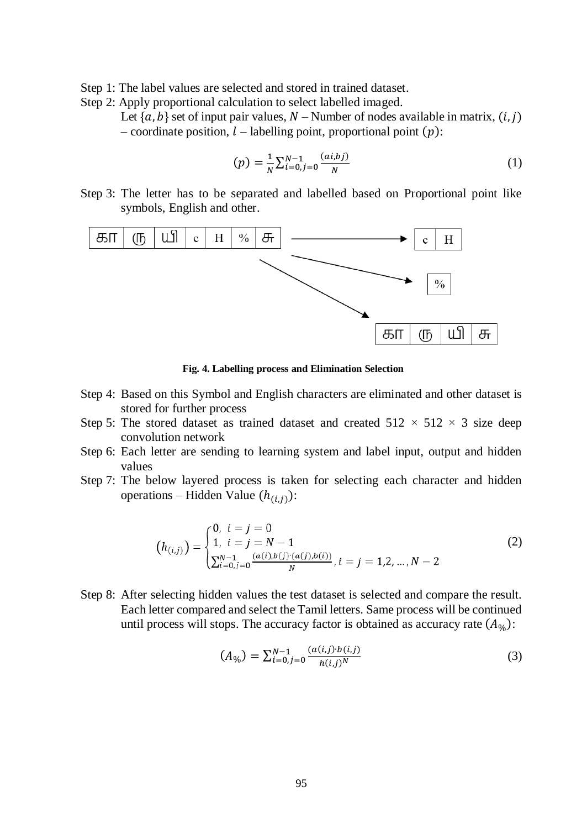Step 1: The label values are selected and stored in trained dataset.

Step 2: Apply proportional calculation to select labelled imaged.

Let  $\{a, b\}$  set of input pair values, N – Number of nodes available in matrix,  $(i, j)$ – coordinate position,  $l$  – labelling point, proportional point  $(p)$ :

$$
(p) = \frac{1}{N} \sum_{i=0, j=0}^{N-1} \frac{(ai,bj)}{N}
$$
 (1)

Step 3: The letter has to be separated and labelled based on Proportional point like symbols, English and other.



**Fig. 4. Labelling process and Elimination Selection**

- Step 4: Based on this Symbol and English characters are eliminated and other dataset is stored for further process
- Step 5: The stored dataset as trained dataset and created  $512 \times 512 \times 3$  size deep convolution network
- Step 6: Each letter are sending to learning system and label input, output and hidden values
- Step 7: The below layered process is taken for selecting each character and hidden operations – Hidden Value  $(h_{(i,j)})$ :

$$
(h_{(i,j)}) = \begin{cases} 0, & i = j = 0 \\ 1, & i = j = N - 1 \\ \sum_{i=0}^{N-1} \sum_{j=0}^{(a(i),b(j))}(a(j),b(i))}{N}, & i = j = 1,2,...,N - 2 \end{cases}
$$
(2)

Step 8: After selecting hidden values the test dataset is selected and compare the result. Each letter compared and select the Tamil letters. Same process will be continued until process will stops. The accuracy factor is obtained as accuracy rate  $(A_{\mathcal{V}_0})$ :

$$
(A_{\%}) = \sum_{i=0, j=0}^{N-1} \frac{(a(i,j) \cdot b(i,j))}{h(i,j)^N}
$$
(3)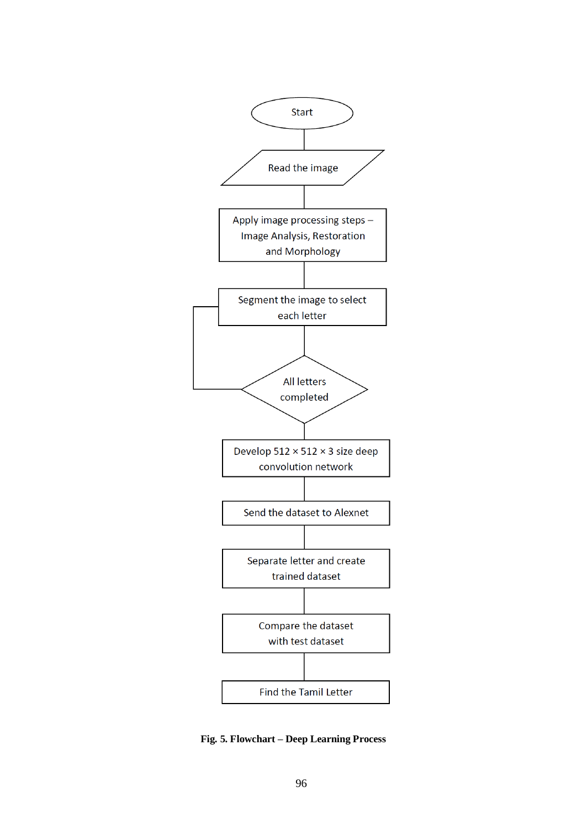

**Fig. 5. Flowchart – Deep Learning Process**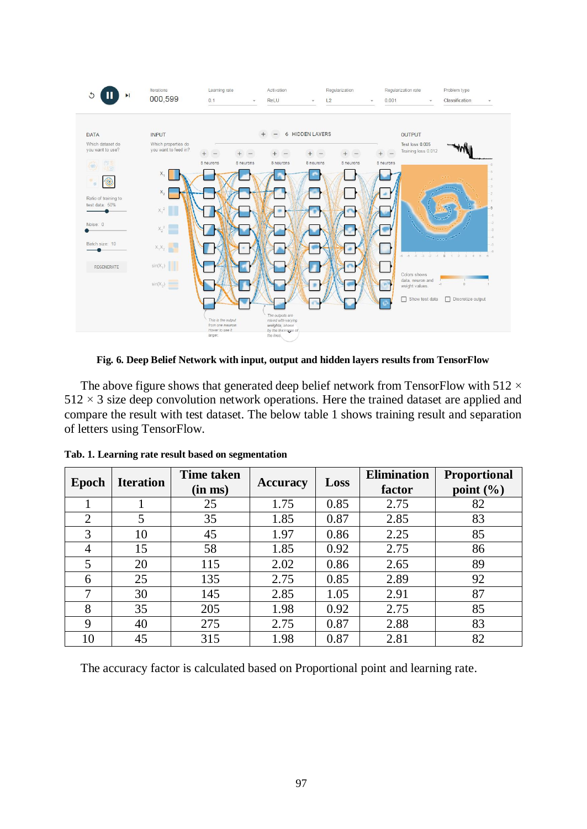

**Fig. 6. Deep Belief Network with input, output and hidden layers results from TensorFlow**

The above figure shows that generated deep belief network from TensorFlow with 512  $\times$  $512 \times 3$  size deep convolution network operations. Here the trained dataset are applied and compare the result with test dataset. The below table 1 shows training result and separation of letters using TensorFlow.

| Epoch | <b>Iteration</b> | <b>Time taken</b><br>(in ms) | <b>Accuracy</b> | Loss | <b>Elimination</b><br>factor | <b>Proportional</b><br>point $(\% )$ |
|-------|------------------|------------------------------|-----------------|------|------------------------------|--------------------------------------|
|       |                  | 25                           | 1.75            | 0.85 | 2.75                         | 82                                   |
| 2     | 5                | 35                           | 1.85            | 0.87 | 2.85                         | 83                                   |
| 3     | 10               | 45                           | 1.97            | 0.86 | 2.25                         | 85                                   |
| 4     | 15               | 58                           | 1.85            | 0.92 | 2.75                         | 86                                   |
| 5     | 20               | 115                          | 2.02            | 0.86 | 2.65                         | 89                                   |
| 6     | 25               | 135                          | 2.75            | 0.85 | 2.89                         | 92                                   |
|       | 30               | 145                          | 2.85            | 1.05 | 2.91                         | 87                                   |
| 8     | 35               | 205                          | 1.98            | 0.92 | 2.75                         | 85                                   |
| 9     | 40               | 275                          | 2.75            | 0.87 | 2.88                         | 83                                   |
| 10    | 45               | 315                          | 1.98            | 0.87 | 2.81                         | 82                                   |

**Tab. 1. Learning rate result based on segmentation**

The accuracy factor is calculated based on Proportional point and learning rate.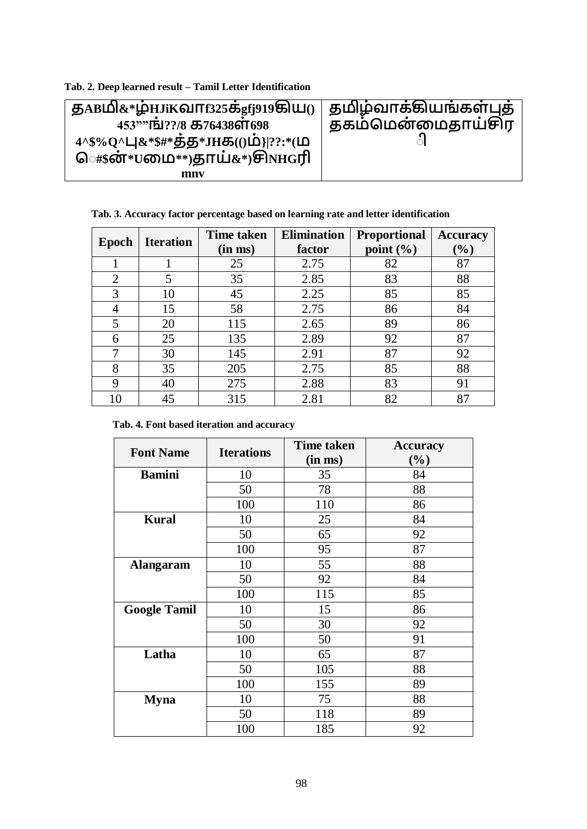| Tab. 2. Deep learned result – Tamil Letter Identification |  |
|-----------------------------------------------------------|--|
|-----------------------------------------------------------|--|

| து கமி $\&*$ ழ்யாை $\sin$ த்து முகிய $\sin$ தமிழ்வாக்கியங்கள்புத் |                   |
|-------------------------------------------------------------------|-------------------|
| 453""[5]??/8 5576438677698                                        | தகம்மென்மைதாய்சிர |
|                                                                   |                   |
| ெ#\$ன்*∪மை**)தாய்&*)சிலாரி                                        |                   |
| mnv                                                               |                   |

**Tab. 3. Accuracy factor percentage based on learning rate and letter identification**

| Epoch          | <b>Iteration</b> | <b>Time taken</b><br>(in ms) | <b>Elimination</b><br>factor | <b>Proportional</b><br>point $(\% )$ | <b>Accuracy</b><br>$(\%)$ |
|----------------|------------------|------------------------------|------------------------------|--------------------------------------|---------------------------|
|                |                  | 25                           | 2.75                         | 82                                   | 87                        |
| $\overline{2}$ | 5                | 35                           | 2.85                         | 83                                   | 88                        |
| 3              | 10               | 45                           | 2.25                         | 85                                   | 85                        |
| 4              | 15               | 58                           | 2.75                         | 86                                   | 84                        |
| 5              | 20               | 115                          | 2.65                         | 89                                   | 86                        |
| 6              | 25               | 135                          | 2.89                         | 92                                   | 87                        |
| 7              | 30               | 145                          | 2.91                         | 87                                   | 92                        |
| 8              | 35               | 205                          | 2.75                         | 85                                   | 88                        |
| 9              | 40               | 275                          | 2.88                         | 83                                   | 91                        |
| $\overline{0}$ | 45               | 315                          | 2.81                         | 82                                   | 87                        |

**Tab. 4. Font based iteration and accuracy**

| <b>Font Name</b>    | <b>Iterations</b> | <b>Time taken</b><br>(in ms) | <b>Accuracy</b><br>$(\%)$ |
|---------------------|-------------------|------------------------------|---------------------------|
| <b>Bamini</b>       | 10                | 35                           | 84                        |
|                     | 50                | 78                           | 88                        |
|                     | 100               | 110                          | 86                        |
| <b>Kural</b>        | 10                | 25                           | 84                        |
|                     | 50                | 65                           | 92                        |
|                     | 100               | 95                           | 87                        |
| <b>Alangaram</b>    | 10                | 55                           | 88                        |
|                     | 50                | 92                           | 84                        |
|                     | 100               | 115                          | 85                        |
| <b>Google Tamil</b> | 10                | 15                           | 86                        |
|                     | 50                | 30                           | 92                        |
|                     | 100               | 50                           | 91                        |
| Latha               | 10                | 65                           | 87                        |
|                     | 50                | 105                          | 88                        |
|                     | 100               | 155                          | 89                        |
| <b>Myna</b>         | 10                | 75                           | 88                        |
|                     | 50                | 118                          | 89                        |
|                     | 100               | 185                          | 92                        |